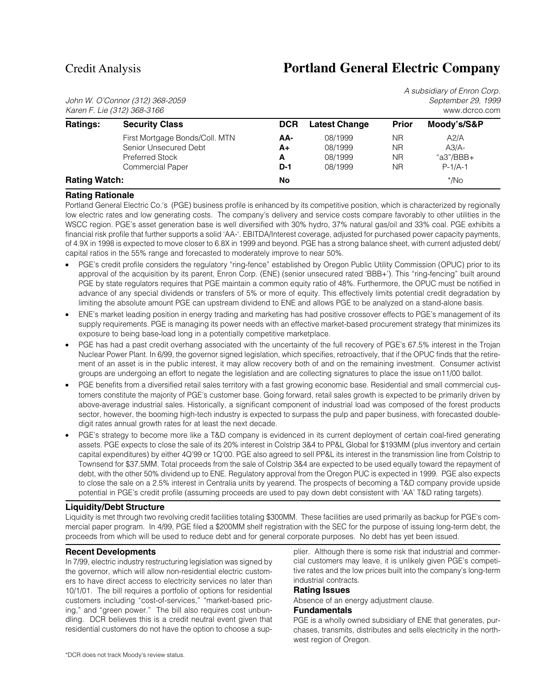# Credit Analysis **Portland General Electric Company**

A subsidiary of Enron Corp.

John W. O'Connor (312) 368-2059 September 29, 1999  $Karen F.$  Lie (312) 368-3166

|                      | $\overline{1}$ 1 1 $\overline{2}$ 1 $\overline{1}$ $\overline{1}$ $\overline{1}$ $\overline{1}$ $\overline{1}$ $\overline{1}$ $\overline{1}$ $\overline{1}$ $\overline{1}$ $\overline{1}$ $\overline{1}$ $\overline{1}$ $\overline{1}$ $\overline{1}$ $\overline{1}$ $\overline{1}$ $\overline{1}$ $\overline{1}$ $\overline{1}$ $\overline{1}$ $\overline{1}$ $\overline{1}$ |            |                      |              | www.uutuu.uutii |  |
|----------------------|-------------------------------------------------------------------------------------------------------------------------------------------------------------------------------------------------------------------------------------------------------------------------------------------------------------------------------------------------------------------------------|------------|----------------------|--------------|-----------------|--|
| <b>Ratings:</b>      | <b>Security Class</b>                                                                                                                                                                                                                                                                                                                                                         | <b>DCR</b> | <b>Latest Change</b> | <b>Prior</b> | Moody's/S&P     |  |
|                      | First Mortgage Bonds/Coll. MTN                                                                                                                                                                                                                                                                                                                                                | AA-        | 08/1999              | ΝR           | A2/A            |  |
|                      | Senior Unsecured Debt                                                                                                                                                                                                                                                                                                                                                         | A+         | 08/1999              | ΝR           | $A3/A-$         |  |
|                      | Preferred Stock                                                                                                                                                                                                                                                                                                                                                               | A          | 08/1999              | ΝR           | "a3"/BBB+       |  |
|                      | <b>Commercial Paper</b>                                                                                                                                                                                                                                                                                                                                                       | $D-1$      | 08/1999              | <b>NR</b>    | $P-1/A-1$       |  |
| <b>Rating Watch:</b> |                                                                                                                                                                                                                                                                                                                                                                               | No         |                      |              | */No            |  |
|                      |                                                                                                                                                                                                                                                                                                                                                                               |            |                      |              |                 |  |

## **Rating Rationale**

Portland General Electric Co.'s (PGE) business profile is enhanced by its competitive position, which is characterized by regionally low electric rates and low generating costs. The company's delivery and service costs compare favorably to other utilities in the WSCC region. PGE's asset generation base is well diversified with 30% hydro, 37% natural gas/oil and 33% coal. PGE exhibits a financial risk profile that further supports a solid 'AA-'. EBITDA/Interest coverage, adjusted for purchased power capacity payments, of 4.9X in 1998 is expected to move closer to 6.8X in 1999 and beyond. PGE has a strong balance sheet, with current adjusted debt/ capital ratios in the 55% range and forecasted to moderately improve to near 50%.

- PGE's credit profile considers the regulatory "ring-fence" established by Oregon Public Utility Commission (OPUC) prior to its approval of the acquisition by its parent, Enron Corp. (ENE) (senior unsecured rated 'BBB+'). This "ring-fencing" built around PGE by state regulators requires that PGE maintain a common equity ratio of 48%. Furthermore, the OPUC must be notified in advance of any special dividends or transfers of 5% or more of equity. This effectively limits potential credit degradation by limiting the absolute amount PGE can upstream dividend to ENE and allows PGE to be analyzed on a stand-alone basis.
- ENE's market leading position in energy trading and marketing has had positive crossover effects to PGE's management of its supply requirements. PGE is managing its power needs with an effective market-based procurement strategy that minimizes its exposure to being base-load long in a potentially competitive marketplace.
- PGE has had a past credit overhang associated with the uncertainty of the full recovery of PGE's 67.5% interest in the Trojan Nuclear Power Plant. In 6/99, the governor signed legislation, which specifies, retroactively, that if the OPUC finds that the retirement of an asset is in the public interest, it may allow recovery both of and on the remaining investment. Consumer activist groups are undergoing an effort to negate the legislation and are collecting signatures to place the issue on11/00 ballot.
- PGE benefits from a diversified retail sales territory with a fast growing economic base. Residential and small commercial customers constitute the majority of PGE's customer base. Going forward, retail sales growth is expected to be primarily driven by above-average industrial sales. Historically, a significant component of industrial load was composed of the forest products sector, however, the booming high-tech industry is expected to surpass the pulp and paper business, with forecasted doubledigit rates annual growth rates for at least the next decade.
- PGE's strategy to become more like a T&D company is evidenced in its current deployment of certain coal-fired generating assets. PGE expects to close the sale of its 20% interest in Colstrip 3&4 to PP&L Global for \$193MM (plus inventory and certain capital expenditures) by either 4Q'99 or 1Q'00. PGE also agreed to sell PP&L its interest in the transmission line from Colstrip to Townsend for \$37.5MM. Total proceeds from the sale of Colstrip 3&4 are expected to be used equally toward the repayment of debt, with the other 50% dividend up to ENE. Regulatory approval from the Oregon PUC is expected in 1999. PGE also expects to close the sale on a 2.5% interest in Centralia units by yearend. The prospects of becoming a T&D company provide upside potential in PGE's credit profile (assuming proceeds are used to pay down debt consistent with 'AA' T&D rating targets).

## **Liquidity/Debt Structure**

Liquidity is met through two revolving credit facilities totaling \$300MM. These facilities are used primarily as backup for PGE's commercial paper program. In 4/99, PGE filed a \$200MM shelf registration with the SEC for the purpose of issuing long-term debt, the proceeds from which will be used to reduce debt and for general corporate purposes. No debt has yet been issued.

## **Recent Developments**

In 7/99, electric industry restructuring legislation was signed by the governor, which will allow non-residential electric customers to have direct access to electricity services no later than 10/1/01. The bill requires a portfolio of options for residential customers including "cost-of-services," "market-based pricing," and "green power." The bill also requires cost unbundling. DCR believes this is a credit neutral event given that residential customers do not have the option to choose a supplier. Although there is some risk that industrial and commercial customers may leave, it is unlikely given PGE's competitive rates and the low prices built into the company's long-term industrial contracts.

## **Rating Issues**

Absence of an energy adjustment clause.

## **Fundamentals**

PGE is a wholly owned subsidiary of ENE that generates, purchases, transmits, distributes and sells electricity in the northwest region of Oregon.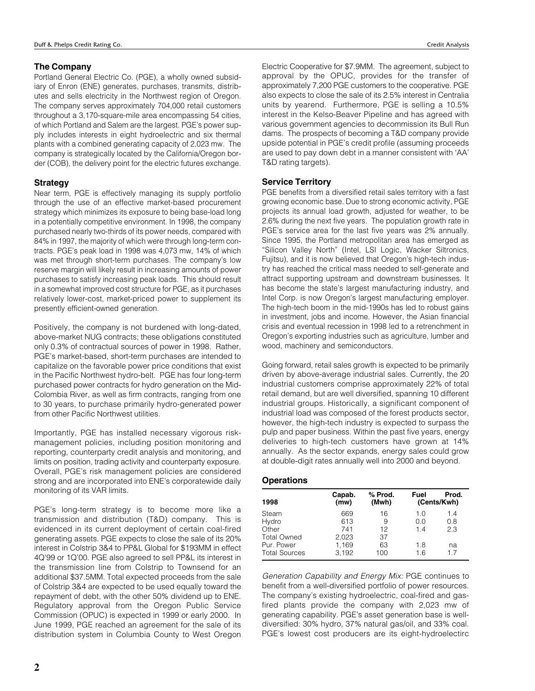## **The Company**

Portland General Electric Co. (PGE), a wholly owned subsidiary of Enron (ENE) generates, purchases, transmits, distributes and sells electricity in the Northwest region of Oregon. The company serves approximately 704,000 retail customers throughout a 3,170-square-mile area encompassing 54 cities, of which Portland and Salem are the largest. PGE's power supply includes interests in eight hydroelectric and six thermal plants with a combined generating capacity of 2,023 mw. The company is strategically located by the California/Oregon border (COB), the delivery point for the electric futures exchange.

## **Strategy**

Near term, PGE is effectively managing its supply portfolio through the use of an effective market-based procurement strategy which minimizes its exposure to being base-load long in a potentially competitive environment. In 1998, the company purchased nearly two-thirds of its power needs, compared with 84% in 1997, the majority of which were through long-term contracts. PGE's peak load in 1998 was 4,073 mw, 14% of which was met through short-term purchases. The company's low reserve margin will likely result in increasing amounts of power purchases to satisfy increasing peak loads. This should result in a somewhat improved cost structure for PGE, as it purchases relatively lower-cost, market-priced power to supplement its presently efficient-owned generation.

Positively, the company is not burdened with long-dated, above-market NUG contracts; these obligations constituted only 0.3% of contractual sources of power in 1998. Rather, PGE's market-based, short-term purchases are intended to capitalize on the favorable power price conditions that exist in the Pacific Northwest hydro-belt. PGE has four long-term purchased power contracts for hydro generation on the Mid-Colombia River, as well as firm contracts, ranging from one to 30 years, to purchase primarily hydro-generated power from other Pacific Northwest utilities.

Importantly, PGE has installed necessary vigorous riskmanagement policies, including position monitoring and reporting, counterparty credit analysis and monitoring, and limits on position, trading activity and counterparty exposure. Overall, PGE's risk management policies are considered strong and are incorporated into ENE's corporatewide daily monitoring of its VAR limits.

PGE's long-term strategy is to become more like a transmission and distribution (T&D) company. This is evidenced in its current deployment of certain coal-fired generating assets. PGE expects to close the sale of its 20% interest in Colstrip 3&4 to PP&L Global for \$193MM in effect 4Q'99 or 1Q'00. PGE also agreed to sell PP&L its interest in the transmission line from Colstrip to Townsend for an additional \$37.5MM. Total expected proceeds from the sale of Colstrip 3&4 are expected to be used equally toward the repayment of debt, with the other 50% dividend up to ENE. Regulatory approval from the Oregon Public Service Commission (OPUC) is expected in 1999 or early 2000. In June 1999, PGE reached an agreement for the sale of its distribution system in Columbia County to West Oregon

Electric Cooperative for \$7.9MM. The agreement, subject to approval by the OPUC, provides for the transfer of approximately 7,200 PGE customers to the cooperative. PGE also expects to close the sale of its 2.5% interest in Centralia units by yearend. Furthermore, PGE is selling a 10.5% interest in the Kelso-Beaver Pipeline and has agreed with various government agencies to decommission its Bull Run dams. The prospects of becoming a T&D company provide upside potential in PGE's credit profile (assuming proceeds are used to pay down debt in a manner consistent with 'AA' T&D rating targets).

## **Service Territory**

PGE benefits from a diversified retail sales territory with a fast growing economic base. Due to strong economic activity, PGE projects its annual load growth, adjusted for weather, to be 2.6% during the next five years. The population growth rate in PGE's service area for the last five years was 2% annually. Since 1995, the Portland metropolitan area has emerged as "Silicon Valley North" (Intel, LSI Logic, Wacker Siltronics, Fujitsu), and it is now believed that Oregon's high-tech industry has reached the critical mass needed to self-generate and attract supporting upstream and downstream businesses. It has become the state's largest manufacturing industry, and Intel Corp. is now Oregon's largest manufacturing employer. The high-tech boom in the mid-1990s has led to robust gains in investment, jobs and income. However, the Asian financial crisis and eventual recession in 1998 led to a retrenchment in Oregon's exporting industries such as agriculture, lumber and wood, machinery and semiconductors.

Going forward, retail sales growth is expected to be primarily driven by above-average industrial sales. Currently, the 20 industrial customers comprise approximately 22% of total retail demand, but are well diversified, spanning 10 different industrial groups. Historically, a significant component of industrial load was composed of the forest products sector, however, the high-tech industry is expected to surpass the pulp and paper business. Within the past five years, energy deliveries to high-tech customers have grown at 14% annually. As the sector expands, energy sales could grow at double-digit rates annually well into 2000 and beyond.

## **Operations**

|                      | Capab. | % Prod. | Fuel        | Prod. |  |
|----------------------|--------|---------|-------------|-------|--|
| 1998                 | (mw)   | (Mwh)   | (Cents/Kwh) |       |  |
| Steam                | 669    | 16      | 1.0         | 1.4   |  |
| Hydro                | 613    | 9       | 0.0         | 0.8   |  |
| Other                | 741    | 12      | 14          | 2.3   |  |
| <b>Total Owned</b>   | 2.023  | 37      |             |       |  |
| Pur. Power           | 1.169  | 63      | 1.8         | na    |  |
| <b>Total Sources</b> | 3,192  | 100     | 1.6         | 17    |  |

Generation Capability and Energy Mix: PGE continues to benefit from a well-diversified portfolio of power resources. The company's existing hydroelectric, coal-fired and gasfired plants provide the company with 2,023 mw of generating capability. PGE's asset generation base is welldiversified: 30% hydro, 37% natural gas/oil, and 33% coal. PGE's lowest cost producers are its eight-hydroelectirc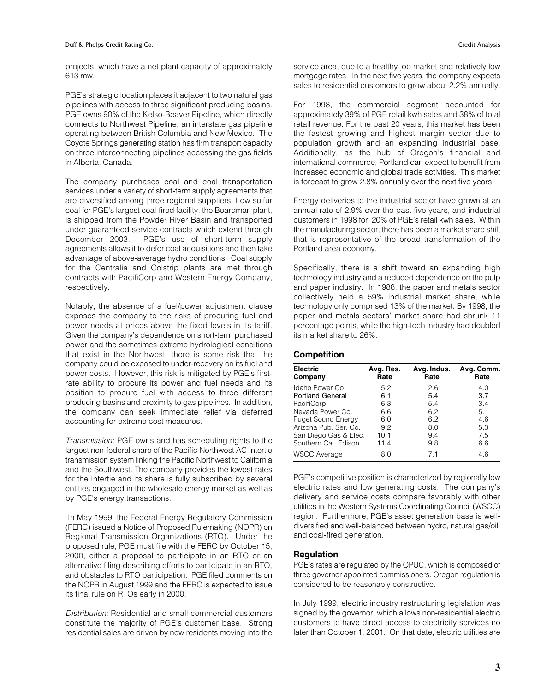projects, which have a net plant capacity of approximately 613 mw.

PGE's strategic location places it adjacent to two natural gas pipelines with access to three significant producing basins. PGE owns 90% of the Kelso-Beaver Pipeline, which directly connects to Northwest Pipeline, an interstate gas pipeline operating between British Columbia and New Mexico. The Coyote Springs generating station has firm transport capacity on three interconnecting pipelines accessing the gas fields in Alberta, Canada.

The company purchases coal and coal transportation services under a variety of short-term supply agreements that are diversified among three regional suppliers. Low sulfur coal for PGE's largest coal-fired facility, the Boardman plant, is shipped from the Powder River Basin and transported under guaranteed service contracts which extend through December 2003. PGE's use of short-term supply agreements allows it to defer coal acquisitions and then take advantage of above-average hydro conditions. Coal supply for the Centralia and Colstrip plants are met through contracts with PacifiCorp and Western Energy Company, respectively.

Notably, the absence of a fuel/power adjustment clause exposes the company to the risks of procuring fuel and power needs at prices above the fixed levels in its tariff. Given the company's dependence on short-term purchased power and the sometimes extreme hydrological conditions that exist in the Northwest, there is some risk that the company could be exposed to under-recovery on its fuel and power costs. However, this risk is mitigated by PGE's firstrate ability to procure its power and fuel needs and its position to procure fuel with access to three different producing basins and proximity to gas pipelines. In addition, the company can seek immediate relief via deferred accounting for extreme cost measures.

Transmission: PGE owns and has scheduling rights to the largest non-federal share of the Pacific Northwest AC Intertie transmission system linking the Pacific Northwest to California and the Southwest. The company provides the lowest rates for the Intertie and its share is fully subscribed by several entities engaged in the wholesale energy market as well as by PGE's energy transactions.

 In May 1999, the Federal Energy Regulatory Commission (FERC) issued a Notice of Proposed Rulemaking (NOPR) on Regional Transmission Organizations (RTO). Under the proposed rule, PGE must file with the FERC by October 15, 2000, either a proposal to participate in an RTO or an alternative filing describing efforts to participate in an RTO, and obstacles to RTO participation. PGE filed comments on the NOPR in August 1999 and the FERC is expected to issue its final rule on RTOs early in 2000.

Distribution: Residential and small commercial customers constitute the majority of PGE's customer base. Strong residential sales are driven by new residents moving into the service area, due to a healthy job market and relatively low mortgage rates. In the next five years, the company expects sales to residential customers to grow about 2.2% annually.

For 1998, the commercial segment accounted for approximately 39% of PGE retail kwh sales and 38% of total retail revenue. For the past 20 years, this market has been the fastest growing and highest margin sector due to population growth and an expanding industrial base. Additionally, as the hub of Oregon's financial and international commerce, Portland can expect to benefit from increased economic and global trade activities. This market is forecast to grow 2.8% annually over the next five years.

Energy deliveries to the industrial sector have grown at an annual rate of 2.9% over the past five years, and industrial customers in 1998 for 20% of PGE's retail kwh sales. Within the manufacturing sector, there has been a market share shift that is representative of the broad transformation of the Portland area economy.

Specifically, there is a shift toward an expanding high technology industry and a reduced dependence on the pulp and paper industry. In 1988, the paper and metals sector collectively held a 59% industrial market share, while technology only comprised 13% of the market. By 1998, the paper and metals sectors' market share had shrunk 11 percentage points, while the high-tech industry had doubled its market share to 26%.

#### **Competition**

| <b>Electric</b><br>Company | Avg. Res.<br>Rate | Avg. Indus.<br>Rate | Avg. Comm.<br>Rate |
|----------------------------|-------------------|---------------------|--------------------|
| Idaho Power Co.            | 5.2               | 2.6                 | 4.0                |
| <b>Portland General</b>    | 6.1               | 5.4                 | 3.7                |
| PacifiCorp                 | 6.3               | 5.4                 | 3.4                |
| Nevada Power Co.           | 6.6               | 6.2                 | 5.1                |
| <b>Puget Sound Energy</b>  | 6.0               | 6.2                 | 4.6                |
| Arizona Pub. Ser. Co.      | 9.2               | 8.0                 | 5.3                |
| San Diego Gas & Elec.      | 10.1              | 9.4                 | 7.5                |
| Southern Cal. Edison       | 11.4              | 9.8                 | 6.6                |
| <b>WSCC Average</b>        | 8.0               | 71                  | 4.6                |

PGE's competitive position is characterized by regionally low electric rates and low generating costs. The company's delivery and service costs compare favorably with other utilities in the Western Systems Coordinating Council (WSCC) region. Furthermore, PGE's asset generation base is welldiversified and well-balanced between hydro, natural gas/oil, and coal-fired generation.

## **Regulation**

PGE's rates are regulated by the OPUC, which is composed of three governor appointed commissioners. Oregon regulation is considered to be reasonably constructive.

In July 1999, electric industry restructuring legislation was signed by the governor, which allows non-residential electric customers to have direct access to electricity services no later than October 1, 2001. On that date, electric utilities are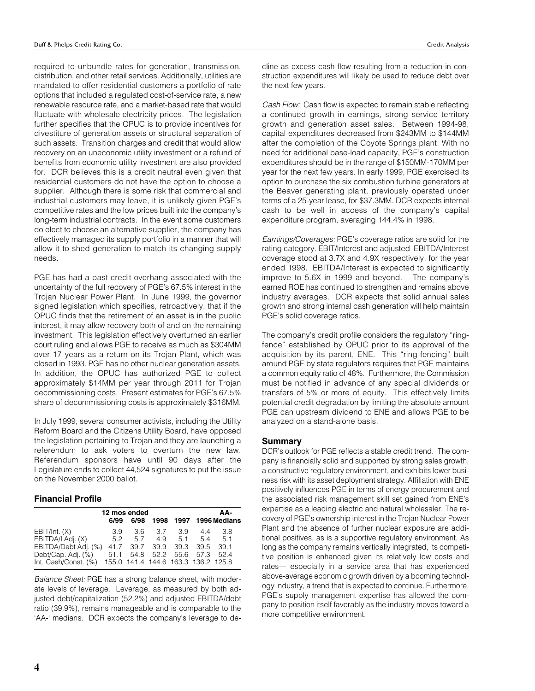required to unbundle rates for generation, transmission, distribution, and other retail services. Additionally, utilities are mandated to offer residential customers a portfolio of rate options that included a regulated cost-of-service rate, a new renewable resource rate, and a market-based rate that would fluctuate with wholesale electricity prices. The legislation further specifies that the OPUC is to provide incentives for divestiture of generation assets or structural separation of such assets. Transition charges and credit that would allow recovery on an uneconomic utility investment or a refund of benefits from economic utility investment are also provided for. DCR believes this is a credit neutral even given that residential customers do not have the option to choose a supplier. Although there is some risk that commercial and industrial customers may leave, it is unlikely given PGE's competitive rates and the low prices built into the company's long-term industrial contracts. In the event some customers do elect to choose an alternative supplier, the company has effectively managed its supply portfolio in a manner that will allow it to shed generation to match its changing supply needs.

PGE has had a past credit overhang associated with the uncertainty of the full recovery of PGE's 67.5% interest in the Trojan Nuclear Power Plant. In June 1999, the governor signed legislation which specifies, retroactively, that if the OPUC finds that the retirement of an asset is in the public interest, it may allow recovery both of and on the remaining investment. This legislation effectively overturned an earlier court ruling and allows PGE to receive as much as \$304MM over 17 years as a return on its Trojan Plant, which was closed in 1993. PGE has no other nuclear generation assets. In addition, the OPUC has authorized PGE to collect approximately \$14MM per year through 2011 for Trojan decommissioning costs. Present estimates for PGE's 67.5% share of decommissioning costs is approximately \$316MM.

In July 1999, several consumer activists, including the Utility Reform Board and the Citizens Utility Board, have opposed the legislation pertaining to Trojan and they are launching a referendum to ask voters to overturn the new law. Referendum sponsors have until 90 days after the Legislature ends to collect 44,524 signatures to put the issue on the November 2000 ballot.

## **Financial Profile**

|                                                                                                                                              | 12 mos ended     |                  |                |                                                                      | AA- |                        |  |
|----------------------------------------------------------------------------------------------------------------------------------------------|------------------|------------------|----------------|----------------------------------------------------------------------|-----|------------------------|--|
|                                                                                                                                              | 6/99             | 6/98             |                |                                                                      |     | 1998 1997 1996 Medians |  |
| EBIT/Int. (X)<br>EBITDA/I Adj. (X)<br>EBITDA/Debt Adj. (%)<br>Debt/Cap. Adj. (%)<br>Int. Cash/Const. (%) 155.0 141.4 144.6 163.3 136.2 125.8 | 39<br>52<br>51.1 | 5.7<br>41.7 39.7 | $3.6\quad 3.7$ | 3.9<br>4.9 5.1 5.4 5.1<br>39.9 39.3 39.5 39.1<br>54.8 52.2 55.6 57.3 | 44  | 3.8<br>524             |  |

Balance Sheet: PGE has a strong balance sheet, with moderate levels of leverage. Leverage, as measured by both adjusted debt/capitalization (52.2%) and adjusted EBITDA/debt ratio (39.9%), remains manageable and is comparable to the 'AA-' medians. DCR expects the company's leverage to decline as excess cash flow resulting from a reduction in construction expenditures will likely be used to reduce debt over the next few years.

Cash Flow: Cash flow is expected to remain stable reflecting a continued growth in earnings, strong service territory growth and generation asset sales. Between 1994-98, capital expenditures decreased from \$243MM to \$144MM after the completion of the Coyote Springs plant. With no need for additional base-load capacity, PGE's construction expenditures should be in the range of \$150MM-170MM per year for the next few years. In early 1999, PGE exercised its option to purchase the six combustion turbine generators at the Beaver generating plant, previously operated under terms of a 25-year lease, for \$37.3MM. DCR expects internal cash to be well in access of the company's capital expenditure program, averaging 144.4% in 1998.

Earnings/Coverages: PGE's coverage ratios are solid for the rating category. EBIT/Interest and adjusted EBITDA/Interest coverage stood at 3.7X and 4.9X respectively, for the year ended 1998. EBITDA/Interest is expected to significantly improve to 5.6X in 1999 and beyond. The company's earned ROE has continued to strengthen and remains above industry averages. DCR expects that solid annual sales growth and strong internal cash generation will help maintain PGE's solid coverage ratios.

The company's credit profile considers the regulatory "ringfence" established by OPUC prior to its approval of the acquisition by its parent, ENE. This "ring-fencing" built around PGE by state regulators requires that PGE maintains a common equity ratio of 48%. Furthermore, the Commission must be notified in advance of any special dividends or transfers of 5% or more of equity. This effectively limits potential credit degradation by limiting the absolute amount PGE can upstream dividend to ENE and allows PGE to be analyzed on a stand-alone basis.

#### **Summary**

DCR's outlook for PGE reflects a stable credit trend. The company is financially solid and supported by strong sales growth, a constructive regulatory environment, and exhibits lower business risk with its asset deployment strategy. Affiliation with ENE positively influences PGE in terms of energy procurement and the associated risk management skill set gained from ENE's expertise as a leading electric and natural wholesaler. The recovery of PGE's ownership interest in the Trojan Nuclear Power Plant and the absence of further nuclear exposure are additional positives, as is a supportive regulatory environment. As long as the company remains vertically integrated, its competitive position is enhanced given its relatively low costs and rates— especially in a service area that has experienced above-average economic growth driven by a booming technology industry, a trend that is expected to continue. Furthermore, PGE's supply management expertise has allowed the company to position itself favorably as the industry moves toward a more competitive environment.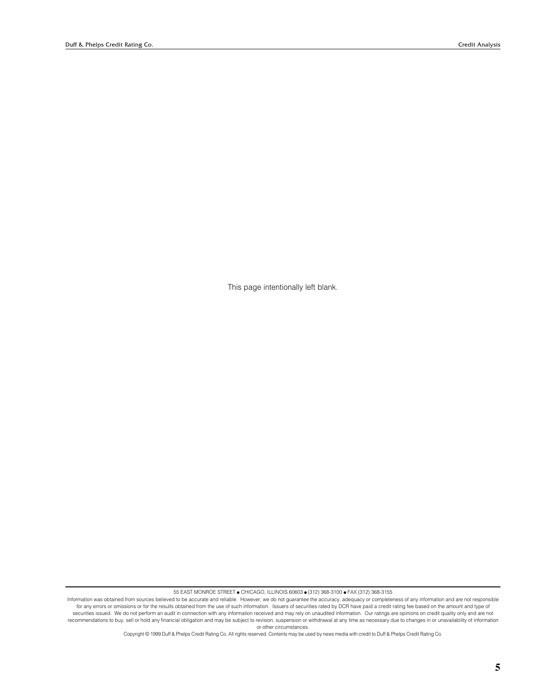This page intentionally left blank.

55 EAST MONROE STREET ● CHICAGO, ILLINOIS 60603 ● (312) 368-3100 ● FAX (312) 368-3155

Copyright © 1999 Duff & Phelps Credit Rating Co. All rights reserved. Contents may be used by news media with credit to Duff & Phelps Credit Rating Co.

Information was obtained from sources believed to be accurate and reliable. However, we do not guarantee the accuracy, adequacy or completeness of any information and are not responsible for any errors or omissions or for the results obtained from the use of such information. Issuers of securities rated by DCR have paid a credit rating fee based on the amount and type of securities issued. We do not perform an audit in connection with any information received and may rely on unaudited information. Our ratings are opinions on credit quality only and are not recommendations to buy, sell or hold any financial obligation and may be subject to revision, suspension or withdrawal at any time as necessary due to changes in or unavailability of information or other circumstances.